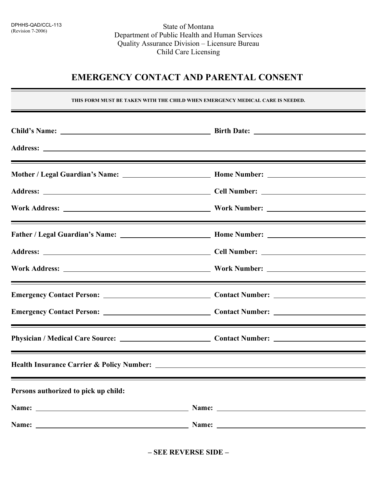State of Montana Department of Public Health and Human Services Quality Assurance Division – Licensure Bureau Child Care Licensing

## **EMERGENCY CONTACT AND PARENTAL CONSENT**

**THIS FORM MUST BE TAKEN WITH THE CHILD WHEN EMERGENCY MEDICAL CARE IS NEEDED.**

|                                                                                                                                                                                                                               | <u> 1989 - Andrea Andrew Maria (h. 1989).</u>                                                                                                                                                                                 |
|-------------------------------------------------------------------------------------------------------------------------------------------------------------------------------------------------------------------------------|-------------------------------------------------------------------------------------------------------------------------------------------------------------------------------------------------------------------------------|
|                                                                                                                                                                                                                               |                                                                                                                                                                                                                               |
|                                                                                                                                                                                                                               |                                                                                                                                                                                                                               |
|                                                                                                                                                                                                                               | <u> 1989 - Andrea Andrew Maria (h. 1989).</u>                                                                                                                                                                                 |
|                                                                                                                                                                                                                               |                                                                                                                                                                                                                               |
|                                                                                                                                                                                                                               |                                                                                                                                                                                                                               |
|                                                                                                                                                                                                                               |                                                                                                                                                                                                                               |
|                                                                                                                                                                                                                               |                                                                                                                                                                                                                               |
|                                                                                                                                                                                                                               |                                                                                                                                                                                                                               |
|                                                                                                                                                                                                                               | ,我们也不会有什么。""我们的人,我们也不会有什么?""我们的人,我们也不会有什么?""我们的人,我们也不会有什么?""我们的人,我们也不会有什么?""我们的人                                                                                                                                              |
|                                                                                                                                                                                                                               |                                                                                                                                                                                                                               |
| Persons authorized to pick up child:                                                                                                                                                                                          | ,我们也不会有什么?""我们的人,我们也不会有什么?""我们的人,我们也不会有什么?""我们的人,我们也不会有什么?""我们的人,我们也不会有什么?""我们的人                                                                                                                                              |
| Name: Name: Name: Name: Name: Name: Name: Name: Name: Name: Name: Name: Name: Name: Name: Name: Name: Name: Name: Name: Name: Name: Name: Name: Name: Name: Name: Name: Name: Name: Name: Name: Name: Name: Name: Name: Name: |                                                                                                                                                                                                                               |
|                                                                                                                                                                                                                               | Name: Name: Name: Name: Name: Name: Name: Name: Name: Name: Name: Name: Name: Name: Name: Name: Name: Name: Name: Name: Name: Name: Name: Name: Name: Name: Name: Name: Name: Name: Name: Name: Name: Name: Name: Name: Name: |

**– SEE REVERSE SIDE –**